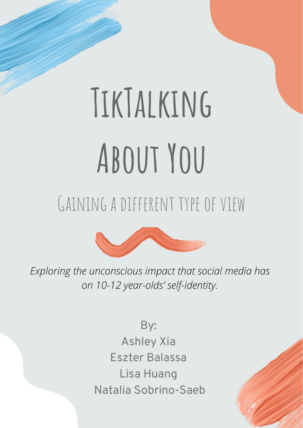# **TikTalking**

**About You**

GAINING A DIFFERENT TYPE OF VIEW





By: Ashley Xia Eszter Balassa Lisa Huang Natalia Sobrino-Saeb



# *Exploring the unconscious impact that social media has on 10-12 year-olds' self-identity.*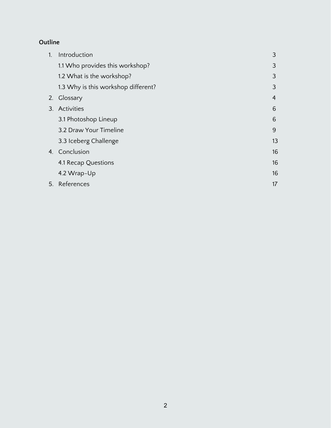# **Outline**

| 1. | Introduction                        | 3              |
|----|-------------------------------------|----------------|
|    | 1.1 Who provides this workshop?     | 3              |
|    | 1.2 What is the workshop?           | 3              |
|    | 1.3 Why is this workshop different? | 3              |
| 2. | Glossary                            | $\overline{4}$ |
|    | 3. Activities                       | 6              |
|    | 3.1 Photoshop Lineup                | 6              |
|    | 3.2 Draw Your Timeline              | 9              |
|    | 3.3 Iceberg Challenge               | 13             |
|    | 4. Conclusion                       | 16             |
|    | 4.1 Recap Questions                 | 16             |
|    | 4.2 Wrap-Up                         | 16             |
|    | 5. References                       | 17             |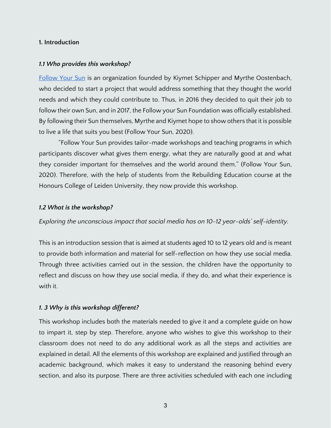#### **1. Introduction**

#### *1.1 Who provides this workshop?*

[Follow Your Sun](https://followyoursun.nl/) is an organization founded by Kiymet Schipper and Myrthe Oostenbach, who decided to start a project that would address something that they thought the world needs and which they could contribute to. Thus, in 2016 they decided to quit their job to follow their own Sun, and in 2017, the Follow your Sun Foundation was officially established. By following their Sun themselves, Myrthe and Kiymet hope to show others that it is possible to live a life that suits you best (Follow Your Sun, 2020).

"Follow Your Sun provides tailor-made workshops and teaching programs in which participants discover what gives them energy, what they are naturally good at and what they consider important for themselves and the world around them." (Follow Your Sun, 2020). Therefore, with the help of students from the Rebuilding Education course at the Honours College of Leiden University, they now provide this workshop.

#### *1.2 What is the workshop?*

*Exploring the unconscious impact that social media has on 10-12 year-olds' self-identity.*

This is an introduction session that is aimed at students aged 10 to 12 years old and is meant to provide both information and material for self-reflection on how they use social media. Through three activities carried out in the session, the children have the opportunity to reflect and discuss on how they use social media, if they do, and what their experience is with it.

#### *1. 3 Why is this workshop different?*

This workshop includes both the materials needed to give it and a complete guide on how to impart it, step by step. Therefore, anyone who wishes to give this workshop to their classroom does not need to do any additional work as all the steps and activities are explained in detail. All the elements of this workshop are explained and justified through an academic background, which makes it easy to understand the reasoning behind every section, and also its purpose. There are three activities scheduled with each one including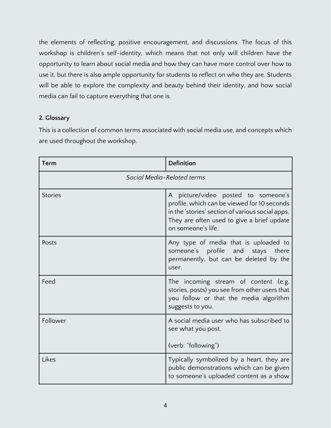the elements of reflecting, positive encouragement, and discussions. The focus of this workshop is children's self-identity, which means that not only will children have the opportunity to learn about social media and how they can have more control over how to use it, but there is also ample opportunity for students to reflect on who they are. Students will be able to explore the complexity and beauty behind their identity, and how social media can fail to capture everything that one is.

# **2. Glossary**

This is a collection of common terms associated with social media use, and concepts which are used throughout the workshop.

| Term                       | <b>Definition</b>                                                                                                                                                                                          |  |
|----------------------------|------------------------------------------------------------------------------------------------------------------------------------------------------------------------------------------------------------|--|
| Social Media-Related terms |                                                                                                                                                                                                            |  |
| <b>Stories</b>             | A picture/video posted to someone's<br>profile, which can be viewed for 10 seconds<br>in the 'stories' section of various social apps.<br>They are often used to give a brief update<br>on someone's life. |  |
| Posts                      | Any type of media that is uploaded to<br>someone's profile and stays there<br>permanently, but can be deleted by the<br>user.                                                                              |  |
| Feed                       | The incoming stream of content (e.g.<br>stories, posts) you see from other users that<br>you follow or that the media algorithm<br>suggests to you.                                                        |  |
| Follower                   | A social media user who has subscribed to<br>see what you post.<br>(verb: "following")                                                                                                                     |  |
| Likes                      | Typically symbolized by a heart, they are<br>public demonstrations which can be given<br>to someone's uploaded content as a show                                                                           |  |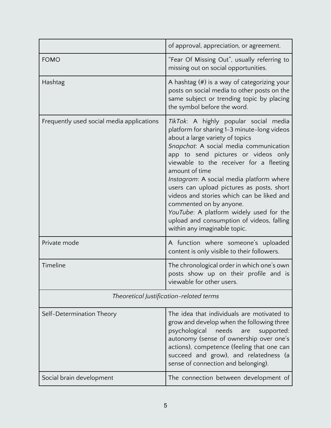|                                           | of approval, appreciation, or agreement.                                                                                                                                                                                                                                                                                                                                                                                                                                                                                                                       |  |  |  |
|-------------------------------------------|----------------------------------------------------------------------------------------------------------------------------------------------------------------------------------------------------------------------------------------------------------------------------------------------------------------------------------------------------------------------------------------------------------------------------------------------------------------------------------------------------------------------------------------------------------------|--|--|--|
| <b>FOMO</b>                               | "Fear Of Missing Out", usually referring to<br>missing out on social opportunities.                                                                                                                                                                                                                                                                                                                                                                                                                                                                            |  |  |  |
| Hashtag                                   | A hashtag $(\#)$ is a way of categorizing your<br>posts on social media to other posts on the<br>same subject or trending topic by placing<br>the symbol before the word.                                                                                                                                                                                                                                                                                                                                                                                      |  |  |  |
| Frequently used social media applications | TikTok: A highly popular social media<br>platform for sharing 1-3 minute-long videos<br>about a large variety of topics<br>Snapchat: A social media communication<br>app to send pictures or videos only<br>viewable to the receiver for a fleeting<br>amount of time<br>Instagram: A social media platform where<br>users can upload pictures as posts, short<br>videos and stories which can be liked and<br>commented on by anyone.<br>YouTube: A platform widely used for the<br>upload and consumption of videos, falling<br>within any imaginable topic. |  |  |  |
| Private mode                              | A function where someone's uploaded<br>content is only visible to their followers.                                                                                                                                                                                                                                                                                                                                                                                                                                                                             |  |  |  |
| Timeline                                  | The chronological order in which one's own<br>posts show up on their profile and is<br>viewable for other users.                                                                                                                                                                                                                                                                                                                                                                                                                                               |  |  |  |
| Theoretical Justification-related terms   |                                                                                                                                                                                                                                                                                                                                                                                                                                                                                                                                                                |  |  |  |
| Self-Determination Theory                 | The idea that individuals are motivated to<br>grow and develop when the following three<br>psychological<br>needs<br>supported:<br>are<br>autonomy (sense of ownership over one's<br>actions), competence (feeling that one can<br>succeed and grow), and relatedness (a<br>sense of connection and belonging).                                                                                                                                                                                                                                                |  |  |  |
| Social brain development                  | The connection between development of                                                                                                                                                                                                                                                                                                                                                                                                                                                                                                                          |  |  |  |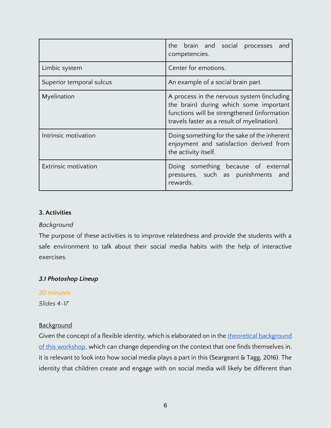|                             | the brain and social processes<br>and<br>competencies.                                                                                                                             |
|-----------------------------|------------------------------------------------------------------------------------------------------------------------------------------------------------------------------------|
| Limbic system               | Center for emotions.                                                                                                                                                               |
| Superior temporal sulcus    | An example of a social brain part.                                                                                                                                                 |
| Myelination                 | A process in the nervous system (including<br>the brain) during which some important<br>functions will be strengthened (information<br>travels faster as a result of myelination). |
| Intrinsic motivation        | Doing something for the sake of the inherent<br>enjoyment and satisfaction derived from<br>the activity itself.                                                                    |
| <b>Extrinsic motivation</b> | Doing something because of external<br>pressures, such as punishments<br>and<br>rewards.                                                                                           |

#### **3. Activities**

# *Background*

The purpose of these activities is to improve relatedness and provide the students with a safe environment to talk about their social media habits with the help of interactive exercises.

# *3.1 Photoshop Lineup*

# 20 minutes

*Slides 4-17*

# **Background**

Given the concept of a flexible identity, which is elaborated on in the [theoretical background](https://docs.google.com/document/u/0/d/1w_ZxMjcQab20u-_LHwP-9Eoczn8MyCdiEGGAvtfwWZQ/edit) [of this workshop,](https://docs.google.com/document/u/0/d/1w_ZxMjcQab20u-_LHwP-9Eoczn8MyCdiEGGAvtfwWZQ/edit) which can change depending on the context that one finds themselves in, it is relevant to look into how social media plays a part in this (Seargeant & Tagg, 2016). The identity that children create and engage with on social media will likely be different than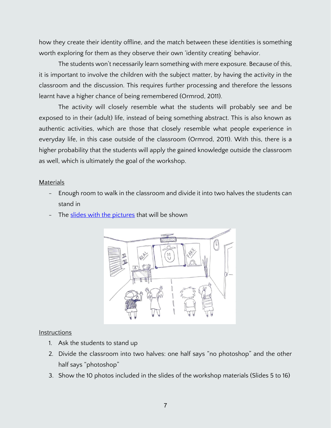how they create their identity offline, and the match between these identities is something worth exploring for them as they observe their own 'identity creating' behavior.

The students won't necessarily learn something with mere exposure. Because of this, it is important to involve the children with the subject matter, by having the activity in the classroom and the discussion. This requires further processing and therefore the lessons learnt have a higher chance of being remembered (Ormrod, 2011).

The activity will closely resemble what the students will probably see and be exposed to in their (adult) life, instead of being something abstract. This is also known as authentic activities, which are those that closely resemble what people experience in everyday life, in this case outside of the classroom (Ormrod, 2011). With this, there is a higher probability that the students will apply the gained knowledge outside the classroom as well, which is ultimately the goal of the workshop.

# Materials

- Enough room to walk in the classroom and divide it into two halves the students can stand in
- The [slides with the pictures](https://docs.google.com/presentation/d/1u7iTrNPkOkEveT55P6Y7jrgj39dgNCh-/edit?usp=sharing&ouid=108819374139167510430&rtpof=true&sd=true) that will be shown



#### **Instructions**

- 1. Ask the students to stand up
- 2. Divide the classroom into two halves: one half says "no photoshop" and the other half says "photoshop"
- 3. Show the 10 photos included in the slides of the workshop materials (Slides 5 to 16)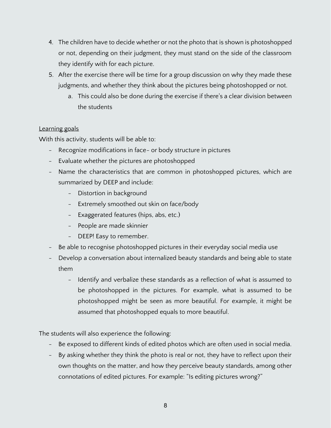- 4. The children have to decide whether or not the photo that is shown is photoshopped or not, depending on their judgment, they must stand on the side of the classroom they identify with for each picture.
- 5. After the exercise there will be time for a group discussion on why they made these judgments, and whether they think about the pictures being photoshopped or not.
	- a. This could also be done during the exercise if there's a clear division between the students

# Learning goals

With this activity, students will be able to:

- Recognize modifications in face- or body structure in pictures
- Evaluate whether the pictures are photoshopped
- Name the characteristics that are common in photoshopped pictures, which are summarized by DEEP and include:
	- Distortion in background
	- Extremely smoothed out skin on face/body
	- Exaggerated features (hips, abs, etc.)
	- People are made skinnier
	- DEEP! Easy to remember.
- Be able to recognise photoshopped pictures in their everyday social media use
- Develop a conversation about internalized beauty standards and being able to state them
	- Identify and verbalize these standards as a reflection of what is assumed to be photoshopped in the pictures. For example, what is assumed to be photoshopped might be seen as more beautiful. For example, it might be assumed that photoshopped equals to more beautiful.

The students will also experience the following:

- Be exposed to different kinds of edited photos which are often used in social media.
- By asking whether they think the photo is real or not, they have to reflect upon their own thoughts on the matter, and how they perceive beauty standards, among other connotations of edited pictures. For example: "Is editing pictures wrong?"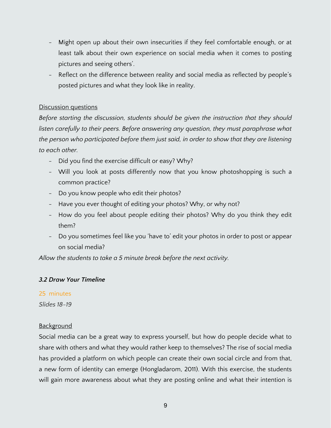- Might open up about their own insecurities if they feel comfortable enough, or at least talk about their own experience on social media when it comes to posting pictures and seeing others'.
- Reflect on the difference between reality and social media as reflected by people's posted pictures and what they look like in reality.

# Discussion questions

*Before starting the discussion, students should be given the instruction that they should*  listen carefully to their peers. Before answering any question, they must paraphrase what *the person who participated before them just said, in order to show that they are listening to each other.* 

- Did you find the exercise difficult or easy? Why?
- Will you look at posts differently now that you know photoshopping is such a common practice?
- Do you know people who edit their photos?
- Have you ever thought of editing your photos? Why, or why not?
- How do you feel about people editing their photos? Why do you think they edit them?
- Do you sometimes feel like you 'have to' edit your photos in order to post or appear on social media?

*Allow the students to take a 5 minute break before the next activity.* 

# *3.2 Draw Your Timeline*

# 25 minutes

*Slides 18-19*

#### **Background**

Social media can be a great way to express yourself, but how do people decide what to share with others and what they would rather keep to themselves? The rise of social media has provided a platform on which people can create their own social circle and from that, a new form of identity can emerge (Hongladarom, 2011). With this exercise, the students will gain more awareness about what they are posting online and what their intention is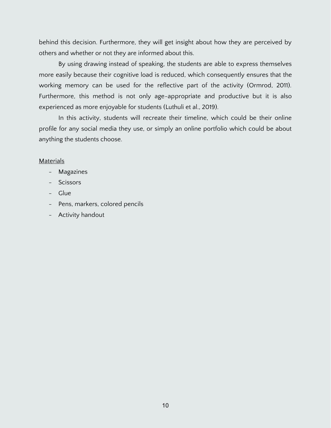behind this decision. Furthermore, they will get insight about how they are perceived by others and whether or not they are informed about this.

By using drawing instead of speaking, the students are able to express themselves more easily because their cognitive load is reduced, which consequently ensures that the working memory can be used for the reflective part of the activity (Ormrod, 2011). Furthermore, this method is not only age-appropriate and productive but it is also experienced as more enjoyable for students (Luthuli et al., 2019).

In this activity, students will recreate their timeline, which could be their online profile for any social media they use, or simply an online portfolio which could be about anything the students choose.

#### **Materials**

- Magazines
- Scissors
- Glue
- Pens, markers, colored pencils
- Activity handout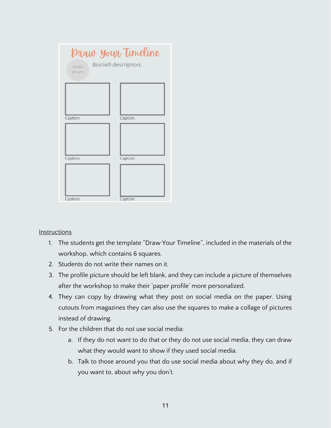| Profile<br>picture | Praw your Timeline<br>Bio/self-description: |
|--------------------|---------------------------------------------|
| Caption:           | Caption:                                    |
| Caption:           | Caption:                                    |
| Caption:           | Caption:                                    |

#### **Instructions**

- 1. The students get the template "Draw Your Timeline", included in the materials of the workshop, which contains 6 squares.
- 2. Students do not write their names on it.
- 3. The profile picture should be left blank, and they can include a picture of themselves after the workshop to make their 'paper profile' more personalized.
- 4. They can copy by drawing what they post on social media on the paper. Using cutouts from magazines they can also use the squares to make a collage of pictures instead of drawing.
- 5. For the children that do not use social media:
	- a. If they do not want to do that or they do not use social media, they can draw what they would want to show if they used social media.
	- b. Talk to those around you that do use social media about why they do, and if you want to, about why you don't.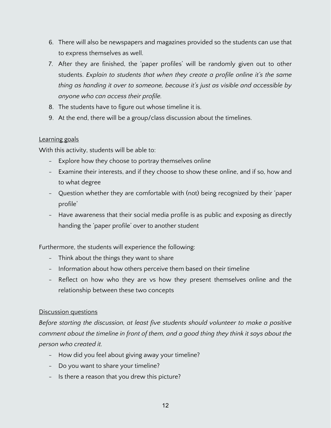- 6. There will also be newspapers and magazines provided so the students can use that to express themselves as well.
- 7. After they are finished, the 'paper profiles' will be randomly given out to other students. *Explain to students that when they create a profile online it's the same thing as handing it over to someone, because it's just as visible and accessible by anyone who can access their profile.*
- 8. The students have to figure out whose timeline it is.
- 9. At the end, there will be a group/class discussion about the timelines.

# Learning goals

With this activity, students will be able to:

- Explore how they choose to portray themselves online
- Examine their interests, and if they choose to show these online, and if so, how and to what degree
- Question whether they are comfortable with (not) being recognized by their 'paper profile'
- Have awareness that their social media profile is as public and exposing as directly handing the 'paper profile' over to another student

Furthermore, the students will experience the following:

- Think about the things they want to share
- Information about how others perceive them based on their timeline
- Reflect on how who they are vs how they present themselves online and the relationship between these two concepts

# Discussion questions

*Before starting the discussion, at least five students should volunteer to make a positive comment about the timeline in front of them, and a good thing they think it says about the person who created it.*

- How did you feel about giving away your timeline?
- Do you want to share your timeline?
- Is there a reason that you drew this picture?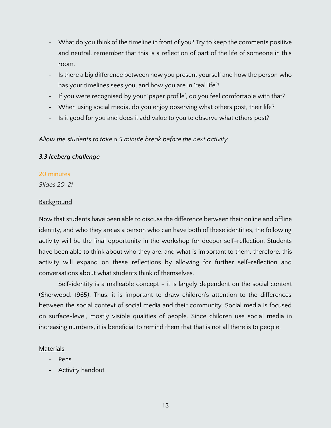- What do you think of the timeline in front of you? Try to keep the comments positive and neutral, remember that this is a reflection of part of the life of someone in this room.
- Is there a big difference between how you present yourself and how the person who has your timelines sees you, and how you are in 'real life'?
- If you were recognised by your 'paper profile', do you feel comfortable with that?
- When using social media, do you enjoy observing what others post, their life?
- Is it good for you and does it add value to you to observe what others post?

*Allow the students to take a 5 minute break before the next activity.* 

#### *3.3 Iceberg challenge*

#### 20 minutes

*Slides 20-21*

#### **Background**

Now that students have been able to discuss the difference between their online and offline identity, and who they are as a person who can have both of these identities, the following activity will be the final opportunity in the workshop for deeper self-reflection. Students have been able to think about who they are, and what is important to them, therefore, this activity will expand on these reflections by allowing for further self-reflection and conversations about what students think of themselves.

Self-identity is a malleable concept - it is largely dependent on the social context (Sherwood, 1965). Thus, it is important to draw children's attention to the differences between the social context of social media and their community. Social media is focused on surface-level, mostly visible qualities of people. Since children use social media in increasing numbers, it is beneficial to remind them that that is not all there is to people.

#### Materials

- Pens
- Activity handout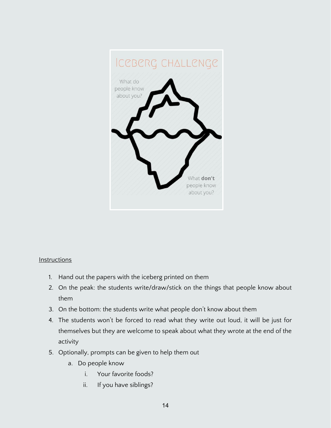

#### **Instructions**

- 1. Hand out the papers with the iceberg printed on them
- 2. On the peak: the students write/draw/stick on the things that people know about them
- 3. On the bottom: the students write what people don't know about them
- 4. The students won't be forced to read what they write out loud, it will be just for themselves but they are welcome to speak about what they wrote at the end of the activity
- 5. Optionally, prompts can be given to help them out
	- a. Do people know
		- i. Your favorite foods?
		- ii. If you have siblings?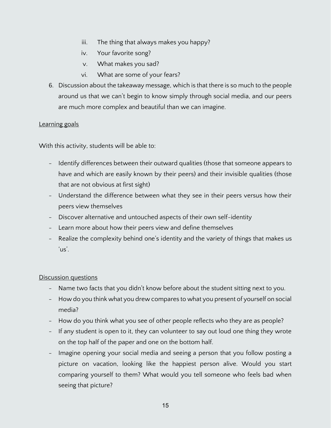- iii. The thing that always makes you happy?
- iv. Your favorite song?
- v. What makes you sad?
- vi. What are some of your fears?
- 6. Discussion about the takeaway message, which is that there is so much to the people around us that we can't begin to know simply through social media, and our peers are much more complex and beautiful than we can imagine.

#### Learning goals

With this activity, students will be able to:

- Identify differences between their outward qualities (those that someone appears to have and which are easily known by their peers) and their invisible qualities (those that are not obvious at first sight)
- Understand the difference between what they see in their peers versus how their peers view themselves
- Discover alternative and untouched aspects of their own self-identity
- Learn more about how their peers view and define themselves
- Realize the complexity behind one's identity and the variety of things that makes us 'us'.

#### Discussion questions

- Name two facts that you didn't know before about the student sitting next to you.
- How do you think what you drew compares to what you present of yourself on social media?
- How do you think what you see of other people reflects who they are as people?
- If any student is open to it, they can volunteer to say out loud one thing they wrote on the top half of the paper and one on the bottom half.
- Imagine opening your social media and seeing a person that you follow posting a picture on vacation, looking like the happiest person alive. Would you start comparing yourself to them? What would you tell someone who feels bad when seeing that picture?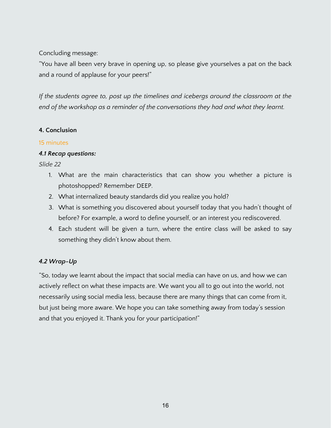Concluding message:

"You have all been very brave in opening up, so please give yourselves a pat on the back and a round of applause for your peers!"

*If the students agree to, post up the timelines and icebergs around the classroom at the end of the workshop as a reminder of the conversations they had and what they learnt.* 

# **4. Conclusion**

# 15 minutes

# *4.1 Recap questions:*

*Slide 22*

- 1. What are the main characteristics that can show you whether a picture is photoshopped? Remember DEEP.
- 2. What internalized beauty standards did you realize you hold?
- 3. What is something you discovered about yourself today that you hadn't thought of before? For example, a word to define yourself, or an interest you rediscovered.
- 4. Each student will be given a turn, where the entire class will be asked to say something they didn't know about them.

# *4.2 Wrap-Up*

"So, today we learnt about the impact that social media can have on us, and how we can actively reflect on what these impacts are. We want you all to go out into the world, not necessarily using social media less, because there are many things that can come from it, but just being more aware. We hope you can take something away from today's session and that you enjoyed it. Thank you for your participation!"